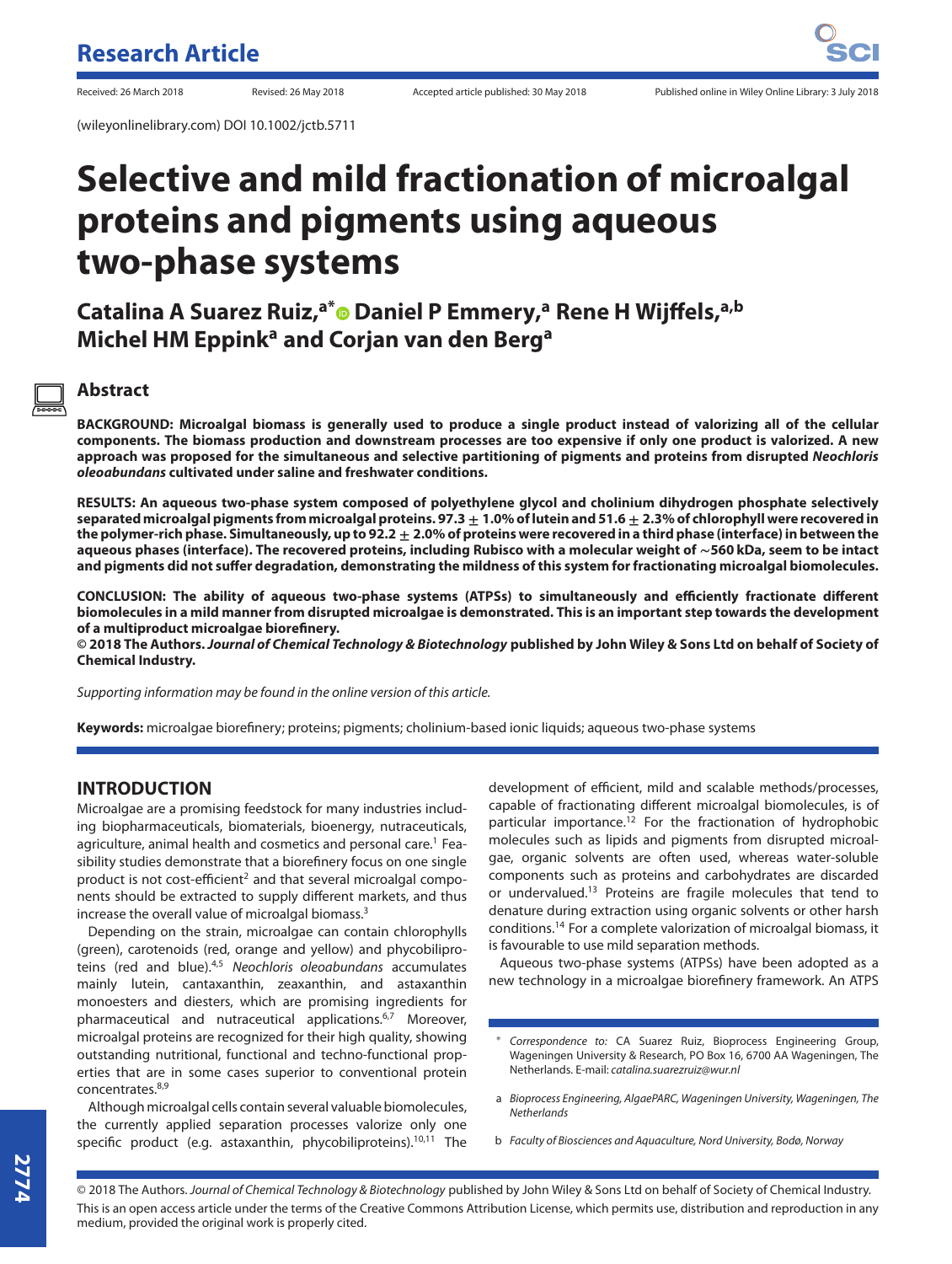(wileyonlinelibrary.com) DOI 10.1002/jctb.5711

# **Selective and mild fractionation of microalgal proteins and pigments using aqueous two-phase systems**

**Catalina A Suarez Ruiz,a[\\*](http://orcid.org/0000-0002-0305-1001) Daniel P Emmery,<sup>a</sup> Rene H Wijffels,a,b Michel HM Eppinka and Corjan van den Berga**

### **Abstract**

**BACKGROUND: Microalgal biomass is generally used to produce a single product instead of valorizing all of the cellular components. The biomass production and downstream processes are too expensive if only one product is valorized. A new approach was proposed for the simultaneous and selective partitioning of pigments and proteins from disrupted** *Neochloris oleoabundans* **cultivated under saline and freshwater conditions.**

**RESULTS: An aqueous two-phase system composed of polyethylene glycol and cholinium dihydrogen phosphate selectively separated microalgal pigments from microalgal proteins. 97.3 ± 1.0% of lutein and 51.6 ± 2.3% of chlorophyll were recovered in the polymer-rich phase. Simultaneously, up to 92.2 ± 2.0% of proteins were recovered in a third phase (interface) in between the aqueous phases (interface). The recovered proteins, including Rubisco with a molecular weight of ∼560 kDa, seem to be intact and pigments did not suffer degradation, demonstrating the mildness of this system for fractionating microalgal biomolecules.**

**CONCLUSION: The ability of aqueous two-phase systems (ATPSs) to simultaneously and efficiently fractionate different biomolecules in a mild manner from disrupted microalgae is demonstrated. This is an important step towards the development of a multiproduct microalgae biorefinery.**

**© 2018 The Authors.***Journal of Chemical Technology & Biotechnology* **published by John Wiley & Sons Ltd on behalf of Society of Chemical Industry.**

Supporting information may be found in the online version of this article.

**Keywords:** microalgae biorefinery; proteins; pigments; cholinium-based ionic liquids; aqueous two-phase systems

### **INTRODUCTION**

Microalgae are a promising feedstock for many industries including biopharmaceuticals, biomaterials, bioenergy, nutraceuticals, agriculture, animal health and cosmetics and personal care.<sup>1</sup> Feasibility studies demonstrate that a biorefinery focus on one single product is not cost-efficient<sup>2</sup> and that several microalgal components should be extracted to supply different markets, and thus increase the overall value of microalgal biomass.3

Depending on the strain, microalgae can contain chlorophylls (green), carotenoids (red, orange and yellow) and phycobiliproteins (red and blue).<sup>4,5</sup> Neochloris oleoabundans accumulates mainly lutein, cantaxanthin, zeaxanthin, and astaxanthin monoesters and diesters, which are promising ingredients for pharmaceutical and nutraceutical applications.<sup>6,7</sup> Moreover, microalgal proteins are recognized for their high quality, showing outstanding nutritional, functional and techno-functional properties that are in some cases superior to conventional protein concentrates.8,9

Although microalgal cells contain several valuable biomolecules, the currently applied separation processes valorize only one specific product (e.g. astaxanthin, phycobiliproteins).<sup>10,11</sup> The development of efficient, mild and scalable methods/processes, capable of fractionating different microalgal biomolecules, is of particular importance.<sup>12</sup> For the fractionation of hydrophobic molecules such as lipids and pigments from disrupted microalgae, organic solvents are often used, whereas water-soluble components such as proteins and carbohydrates are discarded or undervalued.13 Proteins are fragile molecules that tend to denature during extraction using organic solvents or other harsh conditions.14 For a complete valorization of microalgal biomass, it is favourable to use mild separation methods.

Aqueous two-phase systems (ATPSs) have been adopted as a new technology in a microalgae biorefinery framework. An ATPS

- a Bioprocess Engineering, AlgaePARC, Wageningen University, Wageningen, The **Netherlands**
- b Faculty of Biosciences and Aquaculture, Nord University, Bodø, Norway

© 2018 The Authors. Journal of Chemical Technology & Biotechnology published by John Wiley & Sons Ltd on behalf of Society of Chemical Industry. This is an open access article under the terms of the Creative Commons Attribution License, which permits use, distribution and reproduction in any medium, provided the original work is properly cited.

Correspondence to: CA Suarez Ruiz, Bioprocess Engineering Group, Wageningen University & Research, PO Box 16, 6700 AA Wageningen, The Netherlands. E-mail: [catalina.suarezruiz@wur.nl](mailto:catalina.suarezruiz@wur.nl)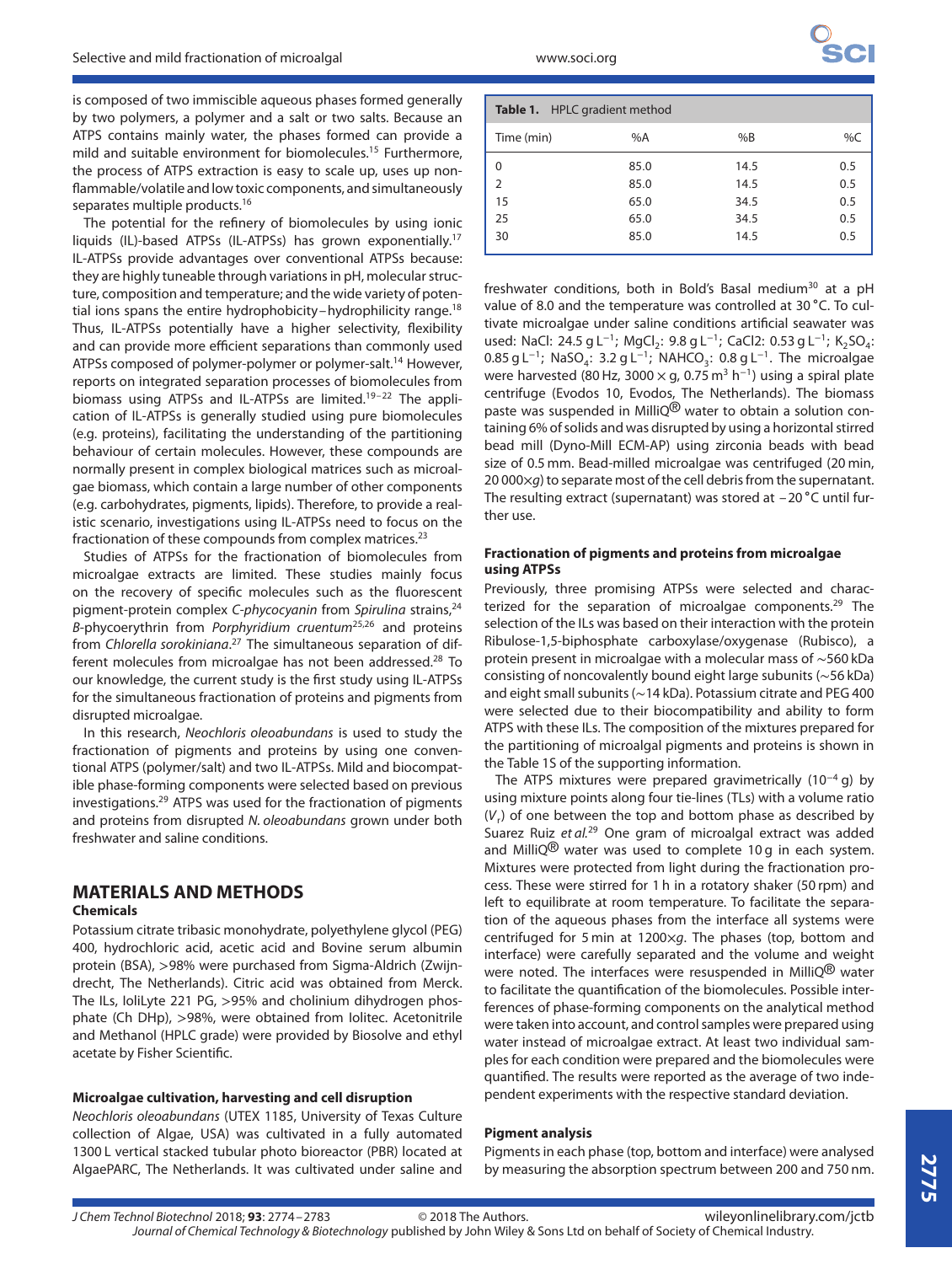is composed of two immiscible aqueous phases formed generally by two polymers, a polymer and a salt or two salts. Because an ATPS contains mainly water, the phases formed can provide a mild and suitable environment for biomolecules.<sup>15</sup> Furthermore, the process of ATPS extraction is easy to scale up, uses up nonflammable/volatile and low toxic components, and simultaneously separates multiple products.<sup>16</sup>

The potential for the refinery of biomolecules by using ionic liquids (IL)-based ATPSs (IL-ATPSs) has grown exponentially.17 IL-ATPSs provide advantages over conventional ATPSs because: they are highly tuneable through variations in pH, molecular structure, composition and temperature; and the wide variety of potential ions spans the entire hydrophobicity–hydrophilicity range.<sup>18</sup> Thus, IL-ATPSs potentially have a higher selectivity, flexibility and can provide more efficient separations than commonly used ATPSs composed of polymer-polymer or polymer-salt.<sup>14</sup> However, reports on integrated separation processes of biomolecules from biomass using ATPSs and IL-ATPSs are limited.<sup>19-22</sup> The application of IL-ATPSs is generally studied using pure biomolecules (e.g. proteins), facilitating the understanding of the partitioning behaviour of certain molecules. However, these compounds are normally present in complex biological matrices such as microalgae biomass, which contain a large number of other components (e.g. carbohydrates, pigments, lipids). Therefore, to provide a realistic scenario, investigations using IL-ATPSs need to focus on the fractionation of these compounds from complex matrices. $23$ 

Studies of ATPSs for the fractionation of biomolecules from microalgae extracts are limited. These studies mainly focus on the recovery of specific molecules such as the fluorescent pigment-protein complex C-phycocyanin from Spirulina strains,<sup>24</sup>  $B$ -phycoerythrin from *Porphyridium cruentum*<sup>25,26</sup> and proteins from Chlorella sorokiniana.<sup>27</sup> The simultaneous separation of different molecules from microalgae has not been addressed.<sup>28</sup> To our knowledge, the current study is the first study using IL-ATPSs for the simultaneous fractionation of proteins and pigments from disrupted microalgae.

In this research, Neochloris oleoabundans is used to study the fractionation of pigments and proteins by using one conventional ATPS (polymer/salt) and two IL-ATPSs. Mild and biocompatible phase-forming components were selected based on previous investigations.<sup>29</sup> ATPS was used for the fractionation of pigments and proteins from disrupted N. oleoabundans grown under both freshwater and saline conditions.

## **MATERIALS AND METHODS**

#### **Chemicals**

Potassium citrate tribasic monohydrate, polyethylene glycol (PEG) 400, hydrochloric acid, acetic acid and Bovine serum albumin protein (BSA), *>*98% were purchased from Sigma-Aldrich (Zwijndrecht, The Netherlands). Citric acid was obtained from Merck. The ILs, IoliLyte 221 PG, *>*95% and cholinium dihydrogen phosphate (Ch DHp), *>*98%, were obtained from Iolitec. Acetonitrile and Methanol (HPLC grade) were provided by Biosolve and ethyl acetate by Fisher Scientific.

#### **Microalgae cultivation, harvesting and cell disruption**

Neochloris oleoabundans (UTEX 1185, University of Texas Culture collection of Algae, USA) was cultivated in a fully automated 1300 L vertical stacked tubular photo bioreactor (PBR) located at AlgaePARC, The Netherlands. It was cultivated under saline and

| Table 1. HPLC gradient method |       |      |     |
|-------------------------------|-------|------|-----|
| Time (min)                    | % $A$ | %B   | %C  |
| 0                             | 85.0  | 14.5 | 0.5 |
| 2                             | 85.0  | 14.5 | 0.5 |
| 15                            | 65.0  | 34.5 | 0.5 |
| 25                            | 65.0  | 34.5 | 0.5 |
| 30                            | 85.0  | 14.5 | 0.5 |

freshwater conditions, both in Bold's Basal medium<sup>30</sup> at a pH value of 8.0 and the temperature was controlled at 30 ∘C. To cultivate microalgae under saline conditions artificial seawater was used: NaCl: 24.5 g L<sup>-1</sup>; MgCl<sub>2</sub>: 9.8 g L<sup>-1</sup>; CaCl2: 0.53 g L<sup>-1</sup>; K<sub>2</sub>SO<sub>4</sub>: 0.85 g L<sup>-1</sup>; NaSO<sub>4</sub>: 3.2 g L<sup>-1</sup>; NAHCO<sub>3</sub>: 0.8 g L<sup>-1</sup>. The microalgae were harvested (80 Hz, 3000 × g, 0.75 m<sup>3</sup> h<sup>-1</sup>) using a spiral plate centrifuge (Evodos 10, Evodos, The Netherlands). The biomass paste was suspended in MilliQ® water to obtain a solution containing 6% of solids and was disrupted by using a horizontal stirred bead mill (Dyno-Mill ECM-AP) using zirconia beads with bead size of 0.5 mm. Bead-milled microalgae was centrifuged (20 min, 20 000 $\times$ q) to separate most of the cell debris from the supernatant. The resulting extract (supernatant) was stored at –20 ∘C until further use.

#### **Fractionation of pigments and proteins from microalgae using ATPSs**

Previously, three promising ATPSs were selected and characterized for the separation of microalgae components.<sup>29</sup> The selection of the ILs was based on their interaction with the protein Ribulose-1,5-biphosphate carboxylase/oxygenase (Rubisco), a protein present in microalgae with a molecular mass of ∼560 kDa consisting of noncovalently bound eight large subunits (∼56 kDa) and eight small subunits (∼14 kDa). Potassium citrate and PEG 400 were selected due to their biocompatibility and ability to form ATPS with these ILs. The composition of the mixtures prepared for the partitioning of microalgal pigments and proteins is shown in the Table 1S of the supporting information.

The ATPS mixtures were prepared gravimetrically (10<sup>−</sup><sup>4</sup> g) by using mixture points along four tie-lines (TLs) with a volume ratio  $(V<sub>r</sub>)$  of one between the top and bottom phase as described by Suarez Ruiz et al.<sup>29</sup> One gram of microalgal extract was added and MilliQ<sup>®</sup> water was used to complete 10 g in each system. Mixtures were protected from light during the fractionation process. These were stirred for 1 h in a rotatory shaker (50 rpm) and left to equilibrate at room temperature. To facilitate the separation of the aqueous phases from the interface all systems were centrifuged for 5 min at 1200×g. The phases (top, bottom and interface) were carefully separated and the volume and weight were noted. The interfaces were resuspended in MilliQ<sup>®</sup> water to facilitate the quantification of the biomolecules. Possible interferences of phase-forming components on the analytical method were taken into account, and control samples were prepared using water instead of microalgae extract. At least two individual samples for each condition were prepared and the biomolecules were quantified. The results were reported as the average of two independent experiments with the respective standard deviation.

#### **Pigment analysis**

Pigments in each phase (top, bottom and interface) were analysed by measuring the absorption spectrum between 200 and 750 nm.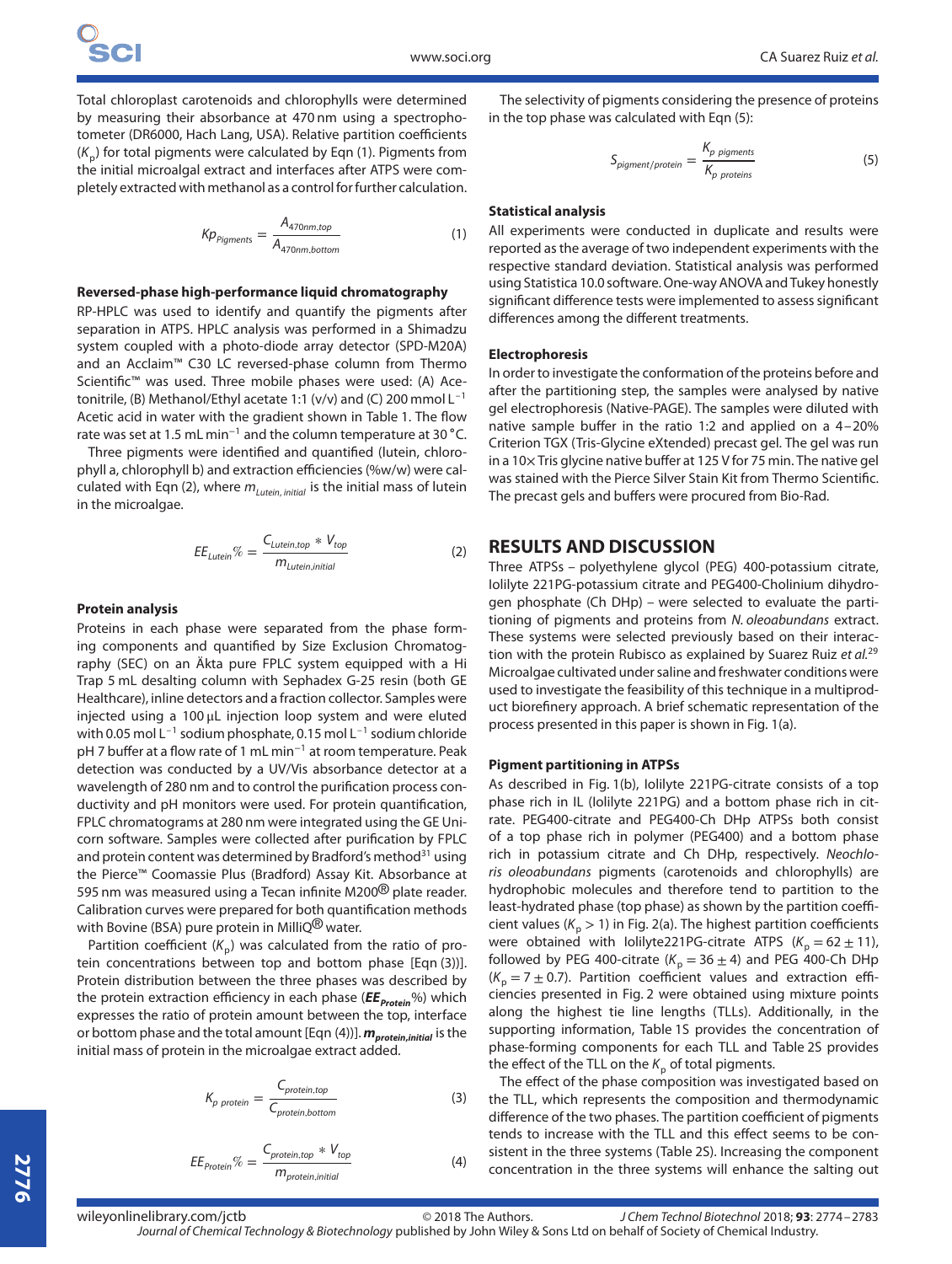Total chloroplast carotenoids and chlorophylls were determined by measuring their absorbance at 470 nm using a spectrophotometer (DR6000, Hach Lang, USA). Relative partition coefficients  $(K_n)$  for total pigments were calculated by Eqn (1). Pigments from the initial microalgal extract and interfaces after ATPS were completely extracted with methanol as a control for further calculation.

$$
Kp_{Pigments} = \frac{A_{470nm, top}}{A_{470nm, bottom}}
$$
 (1)

#### **Reversed-phase high-performance liquid chromatography**

RP-HPLC was used to identify and quantify the pigments after separation in ATPS. HPLC analysis was performed in a Shimadzu system coupled with a photo-diode array detector (SPD-M20A) and an Acclaim™ C30 LC reversed-phase column from Thermo Scientific™ was used. Three mobile phases were used: (A) Acetonitrile, (B) Methanol/Ethyl acetate 1:1 (v/v) and (C) 200 mmol L–1 Acetic acid in water with the gradient shown in Table 1. The flow rate was set at 1.5 mL min<sup>−</sup><sup>1</sup> and the column temperature at 30 ∘C.

Three pigments were identified and quantified (lutein, chlorophyll a, chlorophyll b) and extraction efficiencies (%w/w) were calculated with Eqn (2), where  $m_{\text{Lutein, initial}}$  is the initial mass of lutein in the microalgae.

$$
EE_{Lutein} \% = \frac{C_{Lutein, top} * V_{top}}{m_{Lutein, initial}}
$$
(2)

#### **Protein analysis**

Proteins in each phase were separated from the phase forming components and quantified by Size Exclusion Chromatography (SEC) on an Äkta pure FPLC system equipped with a Hi Trap 5 mL desalting column with Sephadex G-25 resin (both GE Healthcare), inline detectors and a fraction collector. Samples were injected using a 100 μL injection loop system and were eluted with 0.05 mol  $L^{-1}$  sodium phosphate, 0.15 mol  $L^{-1}$  sodium chloride pH 7 buffer at a flow rate of 1 mL min<sup>-1</sup> at room temperature. Peak detection was conducted by a UV/Vis absorbance detector at a wavelength of 280 nm and to control the purification process conductivity and pH monitors were used. For protein quantification, FPLC chromatograms at 280 nm were integrated using the GE Unicorn software. Samples were collected after purification by FPLC and protein content was determined by Bradford's method<sup>31</sup> using the Pierce™ Coomassie Plus (Bradford) Assay Kit. Absorbance at 595 nm was measured using a Tecan infinite M200<sup>®</sup> plate reader. Calibration curves were prepared for both quantification methods with Bovine (BSA) pure protein in MilliQ<sup>®</sup> water.

Partition coefficient  $(K_n)$  was calculated from the ratio of protein concentrations between top and bottom phase [Eqn (3))]. Protein distribution between the three phases was described by the protein extraction efficiency in each phase ( $EE_{\text{Protein}}$ %) which expresses the ratio of protein amount between the top, interface or bottom phase and the total amount [Eqn (4))]. *mprotein***,***initial* is the initial mass of protein in the microalgae extract added.

$$
K_{p\ protein} = \frac{C_{protein, top}}{C_{protein, bottom}}
$$
 (3)

$$
EE_{\text{Protein}}\% = \frac{C_{\text{protein,top}} * V_{\text{top}}}{m_{\text{protein,initial}}}
$$

The selectivity of pigments considering the presence of proteins in the top phase was calculated with Eqn (5):

$$
S_{pigment/protein} = \frac{K_{p\;pigments}}{K_{p\;proteins}}
$$
(5)

#### **Statistical analysis**

All experiments were conducted in duplicate and results were reported as the average of two independent experiments with the respective standard deviation. Statistical analysis was performed using Statistica 10.0 software. One-way ANOVA and Tukey honestly significant difference tests were implemented to assess significant differences among the different treatments.

#### **Electrophoresis**

In order to investigate the conformation of the proteins before and after the partitioning step, the samples were analysed by native gel electrophoresis (Native-PAGE). The samples were diluted with native sample buffer in the ratio 1:2 and applied on a 4–20% Criterion TGX (Tris-Glycine eXtended) precast gel. The gel was run in a 10× Tris glycine native buffer at 125 V for 75 min. The native gel was stained with the Pierce Silver Stain Kit from Thermo Scientific. The precast gels and buffers were procured from Bio-Rad.

#### **RESULTS AND DISCUSSION**

Three ATPSs – polyethylene glycol (PEG) 400-potassium citrate, Iolilyte 221PG-potassium citrate and PEG400-Cholinium dihydrogen phosphate (Ch DHp) – were selected to evaluate the partitioning of pigments and proteins from N. oleoabundans extract. These systems were selected previously based on their interaction with the protein Rubisco as explained by Suarez Ruiz et al.<sup>29</sup> Microalgae cultivated under saline and freshwater conditions were used to investigate the feasibility of this technique in a multiproduct biorefinery approach. A brief schematic representation of the process presented in this paper is shown in Fig. 1(a).

#### **Pigment partitioning in ATPSs**

As described in Fig. 1(b), Iolilyte 221PG-citrate consists of a top phase rich in IL (Iolilyte 221PG) and a bottom phase rich in citrate. PEG400-citrate and PEG400-Ch DHp ATPSs both consist of a top phase rich in polymer (PEG400) and a bottom phase rich in potassium citrate and Ch DHp, respectively. Neochloris oleoabundans pigments (carotenoids and chlorophylls) are hydrophobic molecules and therefore tend to partition to the least-hydrated phase (top phase) as shown by the partition coefficient values ( $K_p > 1$ ) in Fig. 2(a). The highest partition coefficients were obtained with Iolilyte221PG-citrate ATPS ( $K_p = 62 \pm 11$ ), followed by PEG 400-citrate ( $K_p = 36 \pm 4$ ) and PEG 400-Ch DHp  $(K_p = 7 \pm 0.7)$ . Partition coefficient values and extraction efficiencies presented in Fig. 2 were obtained using mixture points along the highest tie line lengths (TLLs). Additionally, in the supporting information, Table 1S provides the concentration of phase-forming components for each TLL and Table 2S provides the effect of the TLL on the  $K_p$  of total pigments.

The effect of the phase composition was investigated based on the TLL, which represents the composition and thermodynamic difference of the two phases. The partition coefficient of pigments tends to increase with the TLL and this effect seems to be consistent in the three systems (Table 2S). Increasing the component concentration in the three systems will enhance the salting out

(4)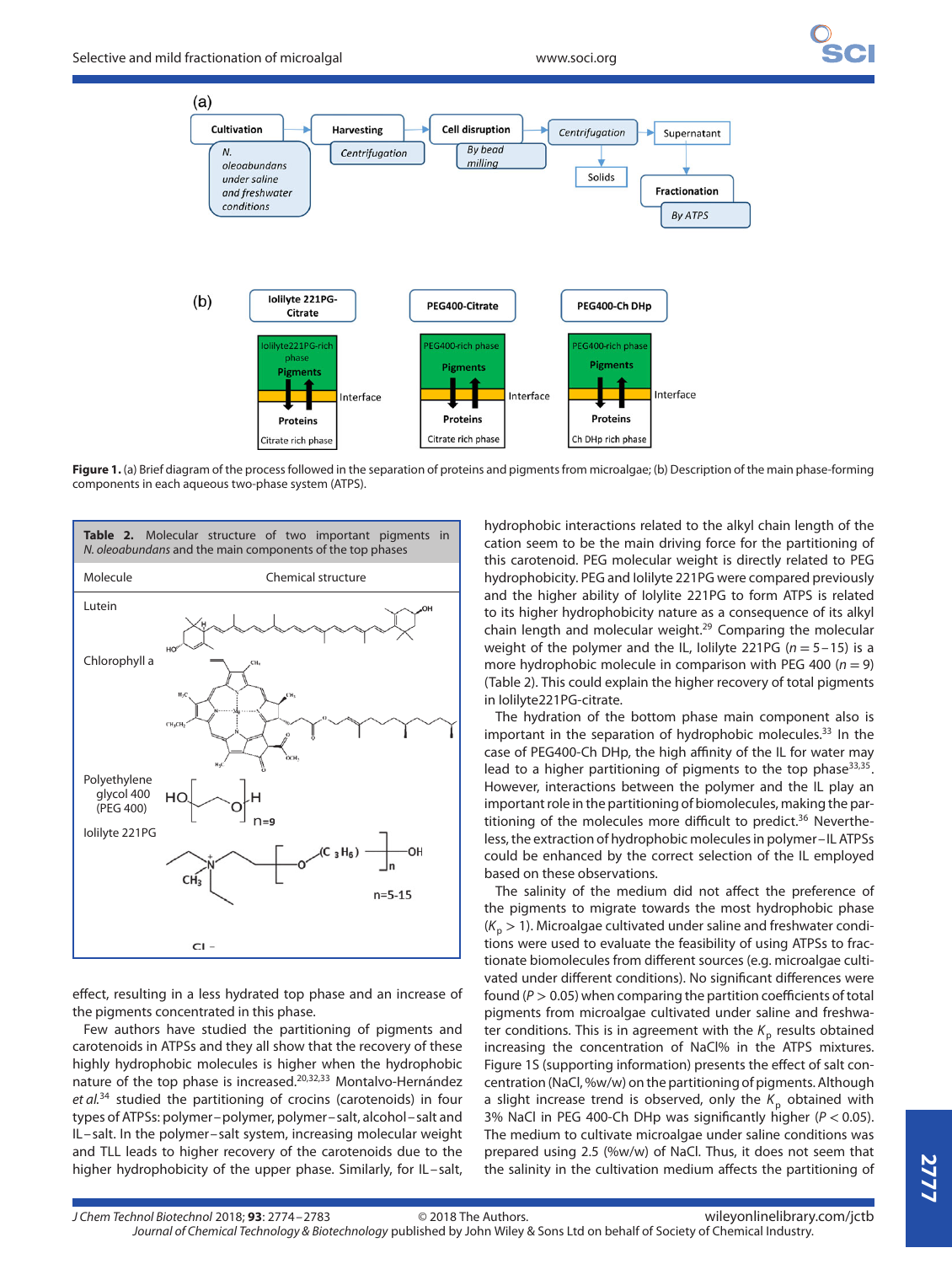

**Figure 1.** (a) Brief diagram of the process followed in the separation of proteins and pigments from microalgae; (b) Description of the main phase-forming components in each aqueous two-phase system (ATPS).



effect, resulting in a less hydrated top phase and an increase of the pigments concentrated in this phase.

Few authors have studied the partitioning of pigments and carotenoids in ATPSs and they all show that the recovery of these highly hydrophobic molecules is higher when the hydrophobic nature of the top phase is increased.20,32,33 Montalvo-Hernández et al.<sup>34</sup> studied the partitioning of crocins (carotenoids) in four types of ATPSs: polymer–polymer, polymer–salt, alcohol–salt and IL–salt. In the polymer–salt system, increasing molecular weight and TLL leads to higher recovery of the carotenoids due to the higher hydrophobicity of the upper phase. Similarly, for IL-salt,

hydrophobic interactions related to the alkyl chain length of the cation seem to be the main driving force for the partitioning of this carotenoid. PEG molecular weight is directly related to PEG hydrophobicity. PEG and Iolilyte 221PG were compared previously and the higher ability of Iolylite 221PG to form ATPS is related to its higher hydrophobicity nature as a consequence of its alkyl chain length and molecular weight.29 Comparing the molecular weight of the polymer and the IL, Iolilyte 221PG  $(n = 5 - 15)$  is a more hydrophobic molecule in comparison with PEG 400 ( $n = 9$ ) (Table 2). This could explain the higher recovery of total pigments in Iolilyte221PG-citrate.

The hydration of the bottom phase main component also is important in the separation of hydrophobic molecules. $33$  In the case of PEG400-Ch DHp, the high affinity of the IL for water may lead to a higher partitioning of pigments to the top phase  $33,35$ . However, interactions between the polymer and the IL play an important role in the partitioning of biomolecules, making the partitioning of the molecules more difficult to predict.<sup>36</sup> Nevertheless, the extraction of hydrophobic molecules in polymer–IL ATPSs could be enhanced by the correct selection of the IL employed based on these observations.

The salinity of the medium did not affect the preference of the pigments to migrate towards the most hydrophobic phase  $(K_p > 1)$ . Microalgae cultivated under saline and freshwater conditions were used to evaluate the feasibility of using ATPSs to fractionate biomolecules from different sources (e.g. microalgae cultivated under different conditions). No significant differences were found (P *>* 0.05) when comparing the partition coefficients of total pigments from microalgae cultivated under saline and freshwater conditions. This is in agreement with the  $K_p$  results obtained increasing the concentration of NaCl% in the ATPS mixtures. Figure 1S (supporting information) presents the effect of salt concentration (NaCl, %w/w) on the partitioning of pigments. Although a slight increase trend is observed, only the  $K_p$  obtained with 3% NaCl in PEG 400-Ch DHp was significantly higher (P *<* 0.05). The medium to cultivate microalgae under saline conditions was prepared using 2.5 (%w/w) of NaCl. Thus, it does not seem that the salinity in the cultivation medium affects the partitioning of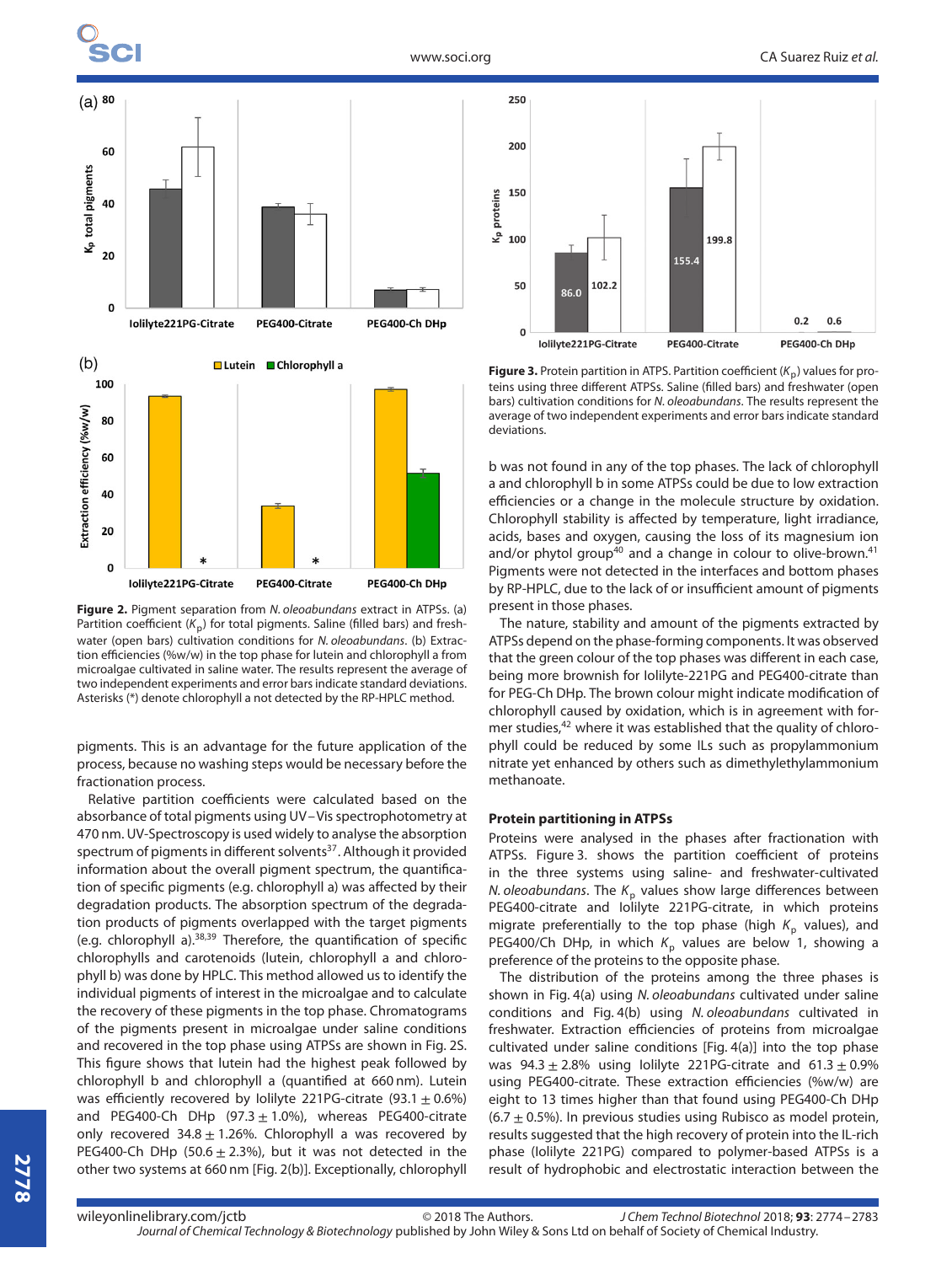

**Figure 2.** Pigment separation from N. oleoabundans extract in ATPSs. (a) Partition coefficient ( $K_p$ ) for total pigments. Saline (filled bars) and freshwater (open bars) cultivation conditions for N. oleoabundans. (b) Extraction efficiencies (%w/w) in the top phase for lutein and chlorophyll a from microalgae cultivated in saline water. The results represent the average of two independent experiments and error bars indicate standard deviations. Asterisks (\*) denote chlorophyll a not detected by the RP-HPLC method.

PEG400-Citrate

PEG400-Ch DHp

Iolilyte221PG-Citrate

pigments. This is an advantage for the future application of the process, because no washing steps would be necessary before the fractionation process.

Relative partition coefficients were calculated based on the absorbance of total pigments using UV–Vis spectrophotometry at 470 nm. UV-Spectroscopy is used widely to analyse the absorption spectrum of pigments in different solvents<sup>37</sup>. Although it provided information about the overall pigment spectrum, the quantification of specific pigments (e.g. chlorophyll a) was affected by their degradation products. The absorption spectrum of the degradation products of pigments overlapped with the target pigments (e.g. chlorophyll a). $38,39$  Therefore, the quantification of specific chlorophylls and carotenoids (lutein, chlorophyll a and chlorophyll b) was done by HPLC. This method allowed us to identify the individual pigments of interest in the microalgae and to calculate the recovery of these pigments in the top phase. Chromatograms of the pigments present in microalgae under saline conditions and recovered in the top phase using ATPSs are shown in Fig. 2S. This figure shows that lutein had the highest peak followed by chlorophyll b and chlorophyll a (quantified at 660 nm). Lutein was efficiently recovered by Iolilyte 221PG-citrate (93.1  $\pm$  0.6%) and PEG400-Ch DHp  $(97.3 \pm 1.0\%)$ , whereas PEG400-citrate only recovered  $34.8 \pm 1.26$ %. Chlorophyll a was recovered by PEG400-Ch DHp (50.6  $\pm$  2.3%), but it was not detected in the other two systems at 660 nm [Fig. 2(b)]. Exceptionally, chlorophyll



**Figure 3.** Protein partition in ATPS. Partition coefficient  $(K_n)$  values for proteins using three different ATPSs. Saline (filled bars) and freshwater (open bars) cultivation conditions for N. oleoabundans. The results represent the average of two independent experiments and error bars indicate standard deviations.

b was not found in any of the top phases. The lack of chlorophyll a and chlorophyll b in some ATPSs could be due to low extraction efficiencies or a change in the molecule structure by oxidation. Chlorophyll stability is affected by temperature, light irradiance, acids, bases and oxygen, causing the loss of its magnesium ion and/or phytol group<sup>40</sup> and a change in colour to olive-brown.<sup>41</sup> Pigments were not detected in the interfaces and bottom phases by RP-HPLC, due to the lack of or insufficient amount of pigments present in those phases.

The nature, stability and amount of the pigments extracted by ATPSs depend on the phase-forming components. It was observed that the green colour of the top phases was different in each case, being more brownish for Iolilyte-221PG and PEG400-citrate than for PEG-Ch DHp. The brown colour might indicate modification of chlorophyll caused by oxidation, which is in agreement with former studies,<sup>42</sup> where it was established that the quality of chlorophyll could be reduced by some ILs such as propylammonium nitrate yet enhanced by others such as dimethylethylammonium methanoate.

#### **Protein partitioning in ATPSs**

Proteins were analysed in the phases after fractionation with ATPSs. Figure 3. shows the partition coefficient of proteins in the three systems using saline- and freshwater-cultivated N. oleoabundans. The  $K_p$  values show large differences between PEG400-citrate and Iolilyte 221PG-citrate, in which proteins migrate preferentially to the top phase (high  $K_p$  values), and PEG400/Ch DHp, in which  $K_p$  values are below 1, showing a preference of the proteins to the opposite phase.

The distribution of the proteins among the three phases is shown in Fig. 4(a) using N. oleoabundans cultivated under saline conditions and Fig. 4(b) using N. oleoabundans cultivated in freshwater. Extraction efficiencies of proteins from microalgae cultivated under saline conditions [Fig. 4(a)] into the top phase was  $94.3 \pm 2.8\%$  using lolilyte 221PG-citrate and  $61.3 \pm 0.9\%$ using PEG400-citrate. These extraction efficiencies (%w/w) are eight to 13 times higher than that found using PEG400-Ch DHp  $(6.7 \pm 0.5\%)$ . In previous studies using Rubisco as model protein, results suggested that the high recovery of protein into the IL-rich phase (Iolilyte 221PG) compared to polymer-based ATPSs is a result of hydrophobic and electrostatic interaction between the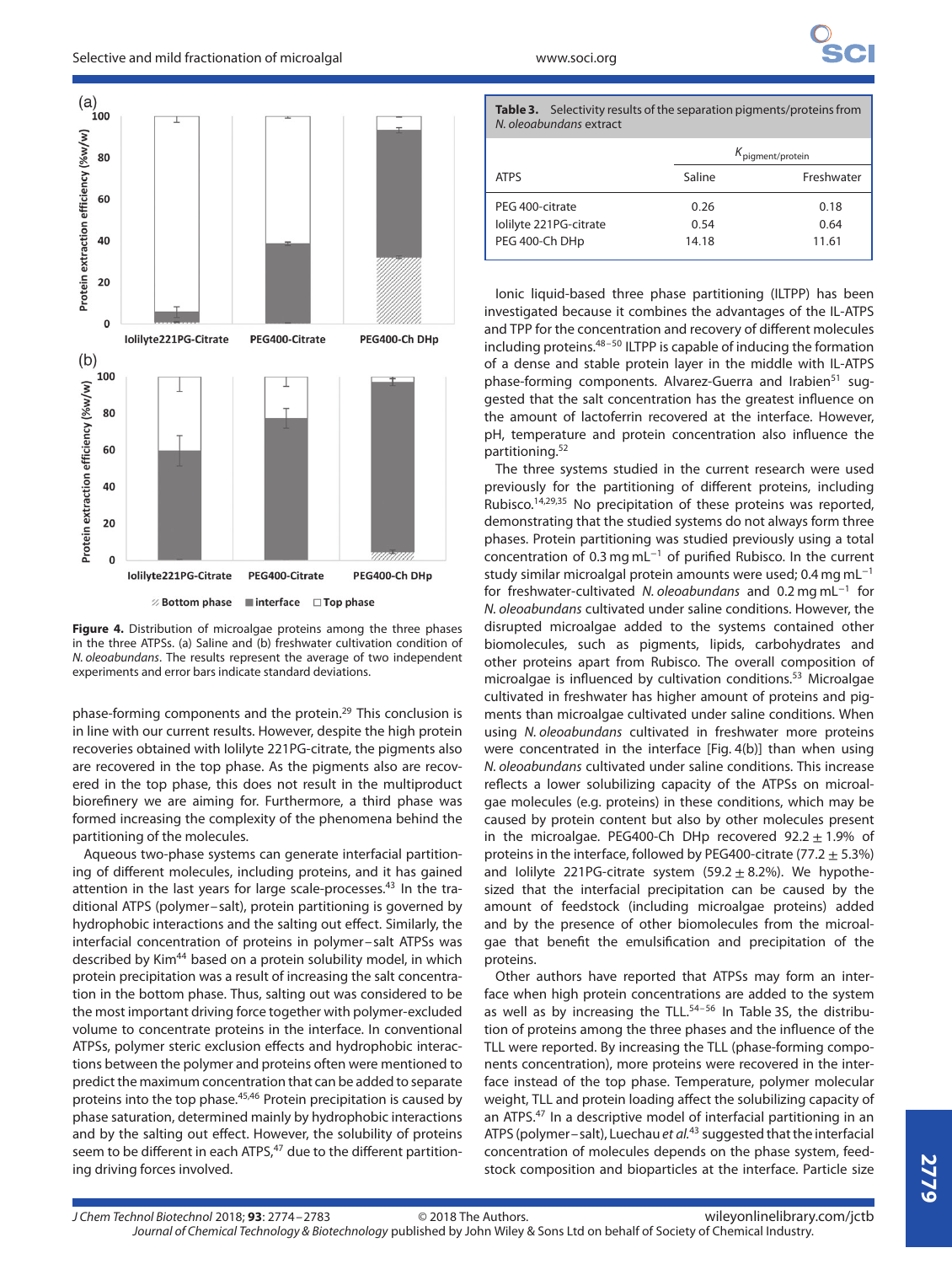



phase-forming components and the protein.<sup>29</sup> This conclusion is in line with our current results. However, despite the high protein recoveries obtained with Iolilyte 221PG-citrate, the pigments also are recovered in the top phase. As the pigments also are recovered in the top phase, this does not result in the multiproduct biorefinery we are aiming for. Furthermore, a third phase was formed increasing the complexity of the phenomena behind the partitioning of the molecules.

Aqueous two-phase systems can generate interfacial partitioning of different molecules, including proteins, and it has gained attention in the last years for large scale-processes.<sup>43</sup> In the traditional ATPS (polymer–salt), protein partitioning is governed by hydrophobic interactions and the salting out effect. Similarly, the interfacial concentration of proteins in polymer–salt ATPSs was described by Kim<sup>44</sup> based on a protein solubility model, in which protein precipitation was a result of increasing the salt concentration in the bottom phase. Thus, salting out was considered to be the most important driving force together with polymer-excluded volume to concentrate proteins in the interface. In conventional ATPSs, polymer steric exclusion effects and hydrophobic interactions between the polymer and proteins often were mentioned to predict the maximum concentration that can be added to separate proteins into the top phase.<sup>45,46</sup> Protein precipitation is caused by phase saturation, determined mainly by hydrophobic interactions and by the salting out effect. However, the solubility of proteins seem to be different in each ATPS,<sup>47</sup> due to the different partitioning driving forces involved.

| Table 3. Selectivity results of the separation pigments/proteins from<br>N. oleoabundans extract |        |                              |  |
|--------------------------------------------------------------------------------------------------|--------|------------------------------|--|
|                                                                                                  |        | $K_{\text{pigment/protein}}$ |  |
| <b>ATPS</b>                                                                                      | Saline | Freshwater                   |  |

| AI P <sub>2</sub>      | Sillie | <b>FIESHWALE</b> |
|------------------------|--------|------------------|
| PEG 400-citrate        | 0.26   | 0.18             |
| lolilyte 221PG-citrate | 0.54   | 0.64             |
| PEG 400-Ch DHp         | 14.18  | 11.61            |
|                        |        |                  |

Ionic liquid-based three phase partitioning (ILTPP) has been investigated because it combines the advantages of the IL-ATPS and TPP for the concentration and recovery of different molecules including proteins. $48-50$  ILTPP is capable of inducing the formation of a dense and stable protein layer in the middle with IL-ATPS phase-forming components. Alvarez-Guerra and Irabien<sup>51</sup> suggested that the salt concentration has the greatest influence on the amount of lactoferrin recovered at the interface. However, pH, temperature and protein concentration also influence the partitioning.52

The three systems studied in the current research were used previously for the partitioning of different proteins, including Rubisco.14,29,35 No precipitation of these proteins was reported, demonstrating that the studied systems do not always form three phases. Protein partitioning was studied previously using a total concentration of 0.3 mg mL<sup>−</sup><sup>1</sup> of purified Rubisco. In the current study similar microalgal protein amounts were used; 0.4 mg mL<sup>−</sup><sup>1</sup> for freshwater-cultivated N. oleoabundans and 0.2 mg mL<sup>−</sup><sup>1</sup> for N. oleoabundans cultivated under saline conditions. However, the disrupted microalgae added to the systems contained other biomolecules, such as pigments, lipids, carbohydrates and other proteins apart from Rubisco. The overall composition of microalgae is influenced by cultivation conditions.53 Microalgae cultivated in freshwater has higher amount of proteins and pigments than microalgae cultivated under saline conditions. When using N. oleoabundans cultivated in freshwater more proteins were concentrated in the interface [Fig. 4(b)] than when using N. oleoabundans cultivated under saline conditions. This increase reflects a lower solubilizing capacity of the ATPSs on microalgae molecules (e.g. proteins) in these conditions, which may be caused by protein content but also by other molecules present in the microalgae. PEG400-Ch DHp recovered  $92.2 \pm 1.9\%$  of proteins in the interface, followed by PEG400-citrate (77.2  $\pm$  5.3%) and Iolilyte 221PG-citrate system  $(59.2 \pm 8.2\%)$ . We hypothesized that the interfacial precipitation can be caused by the amount of feedstock (including microalgae proteins) added and by the presence of other biomolecules from the microalgae that benefit the emulsification and precipitation of the proteins.

Other authors have reported that ATPSs may form an interface when high protein concentrations are added to the system as well as by increasing the TLL.<sup>54-56</sup> In Table 3S, the distribution of proteins among the three phases and the influence of the TLL were reported. By increasing the TLL (phase-forming components concentration), more proteins were recovered in the interface instead of the top phase. Temperature, polymer molecular weight, TLL and protein loading affect the solubilizing capacity of an ATPS.<sup>47</sup> In a descriptive model of interfacial partitioning in an ATPS (polymer–salt), Luechau et  $al^{43}$  suggested that the interfacial concentration of molecules depends on the phase system, feedstock composition and bioparticles at the interface. Particle size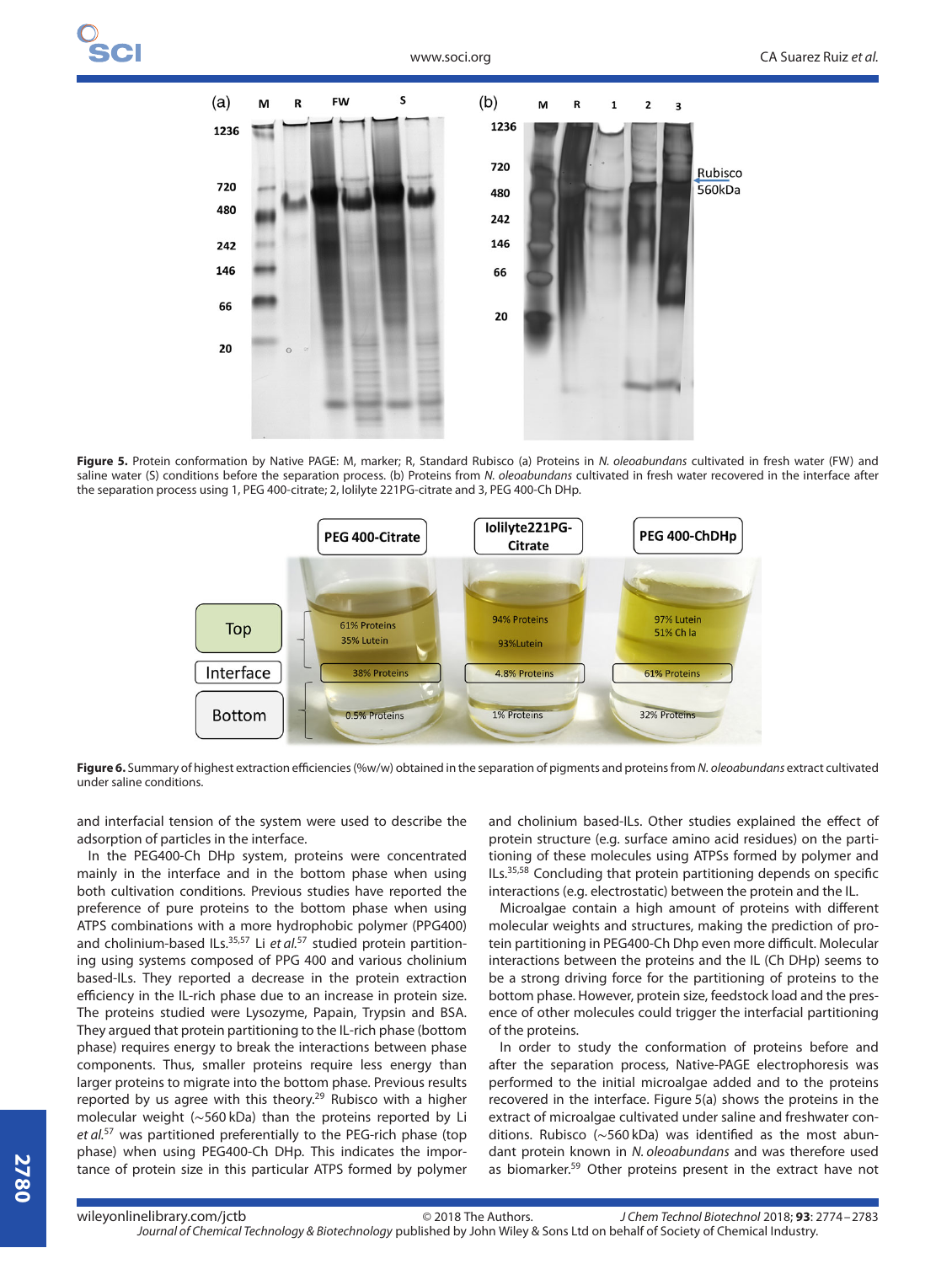

Figure 5. Protein conformation by Native PAGE: M, marker; R, Standard Rubisco (a) Proteins in N. oleoabundans cultivated in fresh water (FW) and saline water (S) conditions before the separation process. (b) Proteins from N. oleoabundans cultivated in fresh water recovered in the interface after the separation process using 1, PEG 400-citrate; 2, Iolilyte 221PG-citrate and 3, PEG 400-Ch DHp.



Figure 6. Summary of highest extraction efficiencies (%w/w) obtained in the separation of pigments and proteins from N. oleoabundans extract cultivated under saline conditions.

and interfacial tension of the system were used to describe the adsorption of particles in the interface.

In the PEG400-Ch DHp system, proteins were concentrated mainly in the interface and in the bottom phase when using both cultivation conditions. Previous studies have reported the preference of pure proteins to the bottom phase when using ATPS combinations with a more hydrophobic polymer (PPG400) and cholinium-based ILs. $35,57$  Li et al.<sup>57</sup> studied protein partitioning using systems composed of PPG 400 and various cholinium based-ILs. They reported a decrease in the protein extraction efficiency in the IL-rich phase due to an increase in protein size. The proteins studied were Lysozyme, Papain, Trypsin and BSA. They argued that protein partitioning to the IL-rich phase (bottom phase) requires energy to break the interactions between phase components. Thus, smaller proteins require less energy than larger proteins to migrate into the bottom phase. Previous results reported by us agree with this theory.<sup>29</sup> Rubisco with a higher molecular weight (∼560 kDa) than the proteins reported by Li et al.<sup>57</sup> was partitioned preferentially to the PEG-rich phase (top phase) when using PEG400-Ch DHp. This indicates the importance of protein size in this particular ATPS formed by polymer

and cholinium based-ILs. Other studies explained the effect of protein structure (e.g. surface amino acid residues) on the partitioning of these molecules using ATPSs formed by polymer and ILs.35,58 Concluding that protein partitioning depends on specific interactions (e.g. electrostatic) between the protein and the IL.

Microalgae contain a high amount of proteins with different molecular weights and structures, making the prediction of protein partitioning in PEG400-Ch Dhp even more difficult. Molecular interactions between the proteins and the IL (Ch DHp) seems to be a strong driving force for the partitioning of proteins to the bottom phase. However, protein size, feedstock load and the presence of other molecules could trigger the interfacial partitioning of the proteins.

In order to study the conformation of proteins before and after the separation process, Native-PAGE electrophoresis was performed to the initial microalgae added and to the proteins recovered in the interface. Figure 5(a) shows the proteins in the extract of microalgae cultivated under saline and freshwater conditions. Rubisco (∼560 kDa) was identified as the most abundant protein known in N. oleoabundans and was therefore used as biomarker.<sup>59</sup> Other proteins present in the extract have not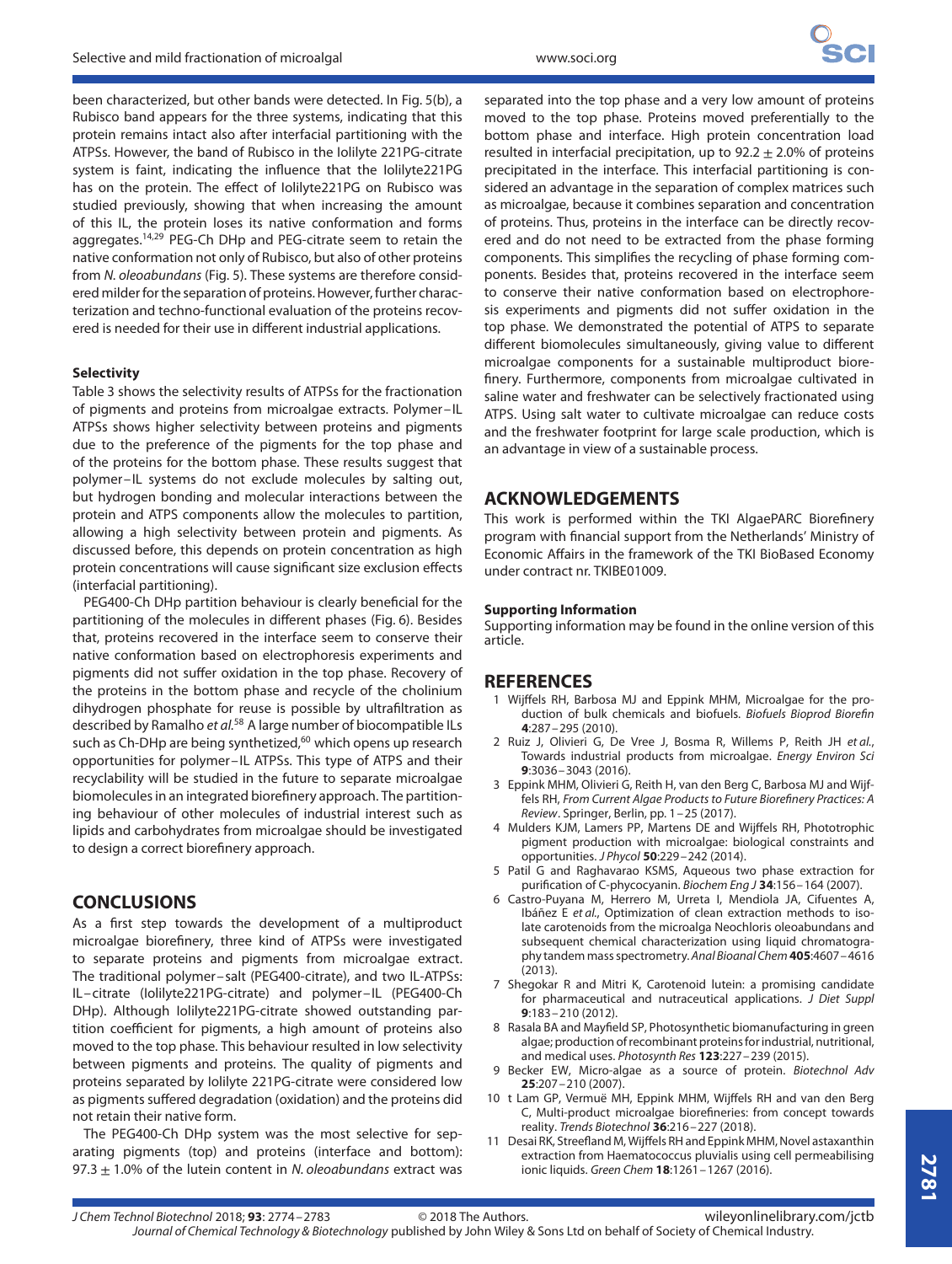been characterized, but other bands were detected. In Fig. 5(b), a Rubisco band appears for the three systems, indicating that this protein remains intact also after interfacial partitioning with the ATPSs. However, the band of Rubisco in the Iolilyte 221PG-citrate system is faint, indicating the influence that the Iolilyte221PG has on the protein. The effect of Iolilyte221PG on Rubisco was studied previously, showing that when increasing the amount of this IL, the protein loses its native conformation and forms aggregates.<sup>14,29</sup> PEG-Ch DHp and PEG-citrate seem to retain the native conformation not only of Rubisco, but also of other proteins from N. oleoabundans (Fig. 5). These systems are therefore considered milder for the separation of proteins. However, further characterization and techno-functional evaluation of the proteins recovered is needed for their use in different industrial applications.

#### **Selectivity**

Table 3 shows the selectivity results of ATPSs for the fractionation of pigments and proteins from microalgae extracts. Polymer–IL ATPSs shows higher selectivity between proteins and pigments due to the preference of the pigments for the top phase and of the proteins for the bottom phase. These results suggest that polymer–IL systems do not exclude molecules by salting out, but hydrogen bonding and molecular interactions between the protein and ATPS components allow the molecules to partition, allowing a high selectivity between protein and pigments. As discussed before, this depends on protein concentration as high protein concentrations will cause significant size exclusion effects (interfacial partitioning).

PEG400-Ch DHp partition behaviour is clearly beneficial for the partitioning of the molecules in different phases (Fig. 6). Besides that, proteins recovered in the interface seem to conserve their native conformation based on electrophoresis experiments and pigments did not suffer oxidation in the top phase. Recovery of the proteins in the bottom phase and recycle of the cholinium dihydrogen phosphate for reuse is possible by ultrafiltration as described by Ramalho et al.<sup>58</sup> A large number of biocompatible ILs such as Ch-DHp are being synthetized,<sup>60</sup> which opens up research opportunities for polymer–IL ATPSs. This type of ATPS and their recyclability will be studied in the future to separate microalgae biomolecules in an integrated biorefinery approach. The partitioning behaviour of other molecules of industrial interest such as lipids and carbohydrates from microalgae should be investigated to design a correct biorefinery approach.

#### **CONCLUSIONS**

As a first step towards the development of a multiproduct microalgae biorefinery, three kind of ATPSs were investigated to separate proteins and pigments from microalgae extract. The traditional polymer–salt (PEG400-citrate), and two IL-ATPSs: IL–citrate (Iolilyte221PG-citrate) and polymer–IL (PEG400-Ch DHp). Although Iolilyte221PG-citrate showed outstanding partition coefficient for pigments, a high amount of proteins also moved to the top phase. This behaviour resulted in low selectivity between pigments and proteins. The quality of pigments and proteins separated by Iolilyte 221PG-citrate were considered low as pigments suffered degradation (oxidation) and the proteins did not retain their native form.

The PEG400-Ch DHp system was the most selective for separating pigments (top) and proteins (interface and bottom): 97.3  $\pm$  1.0% of the lutein content in N. oleoabundans extract was

separated into the top phase and a very low amount of proteins moved to the top phase. Proteins moved preferentially to the bottom phase and interface. High protein concentration load resulted in interfacial precipitation, up to  $92.2 \pm 2.0\%$  of proteins precipitated in the interface. This interfacial partitioning is considered an advantage in the separation of complex matrices such as microalgae, because it combines separation and concentration of proteins. Thus, proteins in the interface can be directly recovered and do not need to be extracted from the phase forming components. This simplifies the recycling of phase forming components. Besides that, proteins recovered in the interface seem to conserve their native conformation based on electrophoresis experiments and pigments did not suffer oxidation in the top phase. We demonstrated the potential of ATPS to separate different biomolecules simultaneously, giving value to different microalgae components for a sustainable multiproduct biorefinery. Furthermore, components from microalgae cultivated in saline water and freshwater can be selectively fractionated using ATPS. Using salt water to cultivate microalgae can reduce costs and the freshwater footprint for large scale production, which is an advantage in view of a sustainable process.

#### **ACKNOWLEDGEMENTS**

This work is performed within the TKI AlgaePARC Biorefinery program with financial support from the Netherlands' Ministry of Economic Affairs in the framework of the TKI BioBased Economy under contract nr. TKIBE01009.

#### **Supporting Information**

Supporting information may be found in the online version of this article.

#### **REFERENCES**

- 1 Wijffels RH, Barbosa MJ and Eppink MHM, Microalgae for the production of bulk chemicals and biofuels. Biofuels Bioprod Biorefin **4**:287–295 (2010).
- 2 Ruiz J, Olivieri G, De Vree J, Bosma R, Willems P, Reith JH et al., Towards industrial products from microalgae. Energy Environ Sci **9**:3036–3043 (2016).
- 3 Eppink MHM, Olivieri G, Reith H, van den Berg C, Barbosa MJ and Wijffels RH, From Current Algae Products to Future Biorefinery Practices: A Review. Springer, Berlin, pp. 1–25 (2017).
- 4 Mulders KJM, Lamers PP, Martens DE and Wijffels RH, Phototrophic pigment production with microalgae: biological constraints and opportunities. J Phycol **50**:229–242 (2014).
- 5 Patil G and Raghavarao KSMS, Aqueous two phase extraction for purification of C-phycocyanin. Biochem Eng J **34**:156–164 (2007).
- 6 Castro-Puyana M, Herrero M, Urreta I, Mendiola JA, Cifuentes A, Ibáñez E et al., Optimization of clean extraction methods to isolate carotenoids from the microalga Neochloris oleoabundans and subsequent chemical characterization using liquid chromatography tandem mass spectrometry. Anal Bioanal Chem **405**:4607–4616 (2013).
- 7 Shegokar R and Mitri K, Carotenoid lutein: a promising candidate for pharmaceutical and nutraceutical applications. J Diet Suppl **9**:183–210 (2012).
- 8 Rasala BA and Mayfield SP, Photosynthetic biomanufacturing in green algae; production of recombinant proteins for industrial, nutritional, and medical uses. Photosynth Res **123**:227–239 (2015).
- 9 Becker EW, Micro-algae as a source of protein. Biotechnol Adv **25**:207–210 (2007).
- 10 t Lam GP, Vermuë MH, Eppink MHM, Wijffels RH and van den Berg C, Multi-product microalgae biorefineries: from concept towards reality. Trends Biotechnol **36**:216–227 (2018).
- 11 Desai RK, Streefland M, Wijffels RH and Eppink MHM, Novel astaxanthin extraction from Haematococcus pluvialis using cell permeabilising ionic liquids. Green Chem **18**:1261–1267 (2016).

**2781**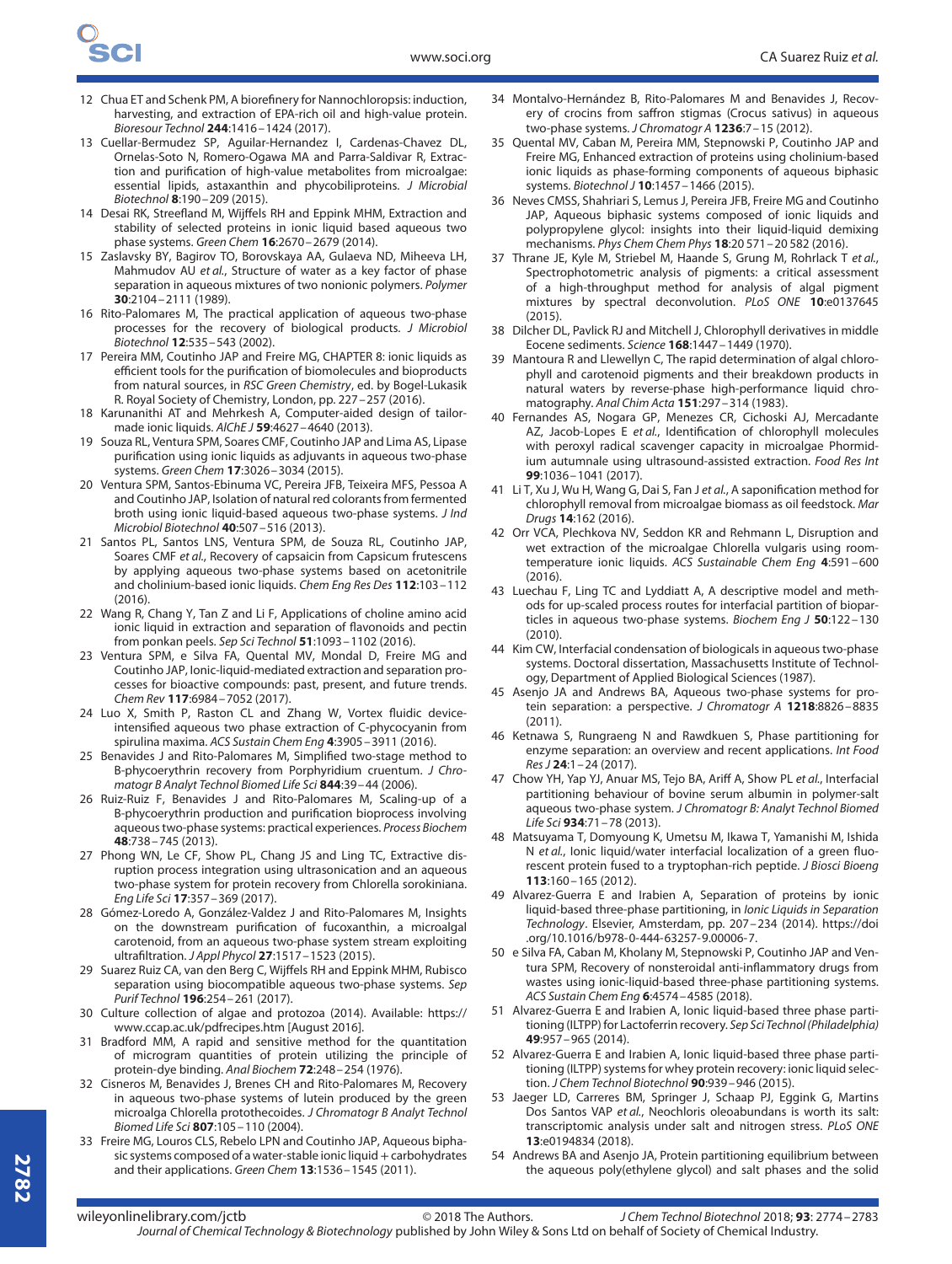- 12 Chua ET and Schenk PM, A biorefinery for Nannochloropsis: induction, harvesting, and extraction of EPA-rich oil and high-value protein. Bioresour Technol **244**:1416–1424 (2017).
- 13 Cuellar-Bermudez SP, Aguilar-Hernandez I, Cardenas-Chavez DL, Ornelas-Soto N, Romero-Ogawa MA and Parra-Saldivar R, Extraction and purification of high-value metabolites from microalgae: essential lipids, astaxanthin and phycobiliproteins. J Microbial Biotechnol **8**:190–209 (2015).
- 14 Desai RK, Streefland M, Wijffels RH and Eppink MHM, Extraction and stability of selected proteins in ionic liquid based aqueous two phase systems. Green Chem **16**:2670–2679 (2014).
- 15 Zaslavsky BY, Bagirov TO, Borovskaya AA, Gulaeva ND, Miheeva LH, Mahmudov AU et al., Structure of water as a key factor of phase separation in aqueous mixtures of two nonionic polymers. Polymer **30**:2104–2111 (1989).
- 16 Rito-Palomares M, The practical application of aqueous two-phase processes for the recovery of biological products. J Microbiol Biotechnol **12**:535–543 (2002).
- 17 Pereira MM, Coutinho JAP and Freire MG, CHAPTER 8: ionic liquids as efficient tools for the purification of biomolecules and bioproducts from natural sources, in RSC Green Chemistry, ed. by Bogel-Lukasik R. Royal Society of Chemistry, London, pp. 227–257 (2016).
- 18 Karunanithi AT and Mehrkesh A, Computer-aided design of tailormade ionic liquids. AlChE J **59**:4627–4640 (2013).
- 19 Souza RL, Ventura SPM, Soares CMF, Coutinho JAP and Lima AS, Lipase purification using ionic liquids as adjuvants in aqueous two-phase systems. Green Chem **17**:3026–3034 (2015).
- 20 Ventura SPM, Santos-Ebinuma VC, Pereira JFB, Teixeira MFS, Pessoa A and Coutinho JAP, Isolation of natural red colorants from fermented broth using ionic liquid-based aqueous two-phase systems. J Ind Microbiol Biotechnol **40**:507–516 (2013).
- 21 Santos PL, Santos LNS, Ventura SPM, de Souza RL, Coutinho JAP, Soares CMF et al., Recovery of capsaicin from Capsicum frutescens by applying aqueous two-phase systems based on acetonitrile and cholinium-based ionic liquids. Chem Eng Res Des **112**:103–112  $(2016)$
- 22 Wang R, Chang Y, Tan Z and Li F, Applications of choline amino acid ionic liquid in extraction and separation of flavonoids and pectin from ponkan peels. Sep Sci Technol **51**:1093–1102 (2016).
- 23 Ventura SPM, e Silva FA, Quental MV, Mondal D, Freire MG and Coutinho JAP, Ionic-liquid-mediated extraction and separation processes for bioactive compounds: past, present, and future trends. Chem Rev **117**:6984–7052 (2017).
- 24 Luo X, Smith P, Raston CL and Zhang W, Vortex fluidic deviceintensified aqueous two phase extraction of C-phycocyanin from spirulina maxima. ACS Sustain Chem Eng **4**:3905–3911 (2016).
- 25 Benavides J and Rito-Palomares M, Simplified two-stage method to B-phycoerythrin recovery from Porphyridium cruentum. J Chromatogr B Analyt Technol Biomed Life Sci **844**:39–44 (2006).
- 26 Ruiz-Ruiz F, Benavides J and Rito-Palomares M, Scaling-up of a B-phycoerythrin production and purification bioprocess involving aqueous two-phase systems: practical experiences. Process Biochem **48**:738–745 (2013).
- 27 Phong WN, Le CF, Show PL, Chang JS and Ling TC, Extractive disruption process integration using ultrasonication and an aqueous two-phase system for protein recovery from Chlorella sorokiniana. Eng Life Sci **17**:357–369 (2017).
- 28 Gómez-Loredo A, González-Valdez J and Rito-Palomares M, Insights on the downstream purification of fucoxanthin, a microalgal carotenoid, from an aqueous two-phase system stream exploiting ultrafiltration. J Appl Phycol **27**:1517–1523 (2015).
- 29 Suarez Ruiz CA, van den Berg C, Wijffels RH and Eppink MHM, Rubisco separation using biocompatible aqueous two-phase systems. Sep Purif Technol **196**:254–261 (2017).
- 30 Culture collection of algae and protozoa (2014). Available: [https://](https://www.ccap.ac.uk/pdfrecipes.htm) [www.ccap.ac.uk/pdfrecipes.htm](https://www.ccap.ac.uk/pdfrecipes.htm) [August 2016].
- 31 Bradford MM, A rapid and sensitive method for the quantitation of microgram quantities of protein utilizing the principle of protein-dye binding. Anal Biochem **72**:248–254 (1976).
- 32 Cisneros M, Benavides J, Brenes CH and Rito-Palomares M, Recovery in aqueous two-phase systems of lutein produced by the green microalga Chlorella protothecoides. J Chromatogr B Analyt Technol Biomed Life Sci **807**:105–110 (2004).
- 33 Freire MG, Louros CLS, Rebelo LPN and Coutinho JAP, Aqueous biphasic systems composed of a water-stable ionic liquid + carbohydrates and their applications. Green Chem **13**:1536–1545 (2011).
- 34 Montalvo-Hernández B, Rito-Palomares M and Benavides J, Recovery of crocins from saffron stigmas (Crocus sativus) in aqueous two-phase systems. J Chromatogr A **1236**:7–15 (2012).
- 35 Quental MV, Caban M, Pereira MM, Stepnowski P, Coutinho JAP and Freire MG, Enhanced extraction of proteins using cholinium-based ionic liquids as phase-forming components of aqueous biphasic systems. Biotechnol J **10**:1457–1466 (2015).
- 36 Neves CMSS, Shahriari S, Lemus J, Pereira JFB, Freire MG and Coutinho JAP, Aqueous biphasic systems composed of ionic liquids and polypropylene glycol: insights into their liquid-liquid demixing mechanisms. Phys Chem Chem Phys **18**:20 571–20 582 (2016).
- 37 Thrane JE, Kyle M, Striebel M, Haande S, Grung M, Rohrlack T et al., Spectrophotometric analysis of pigments: a critical assessment of a high-throughput method for analysis of algal pigment mixtures by spectral deconvolution. PLoS ONE **10**:e0137645 (2015).
- 38 Dilcher DL, Pavlick RJ and Mitchell J, Chlorophyll derivatives in middle Eocene sediments. Science **168**:1447–1449 (1970).
- 39 Mantoura R and Llewellyn C, The rapid determination of algal chlorophyll and carotenoid pigments and their breakdown products in natural waters by reverse-phase high-performance liquid chromatography. Anal Chim Acta **151**:297–314 (1983).
- 40 Fernandes AS, Nogara GP, Menezes CR, Cichoski AJ, Mercadante AZ, Jacob-Lopes E et al., Identification of chlorophyll molecules with peroxyl radical scavenger capacity in microalgae Phormidium autumnale using ultrasound-assisted extraction. Food Res Int **99**:1036–1041 (2017).
- 41 Li T, Xu J, Wu H, Wang G, Dai S, Fan J et al., A saponification method for chlorophyll removal from microalgae biomass as oil feedstock. Mar Drugs **14**:162 (2016).
- 42 Orr VCA, Plechkova NV, Seddon KR and Rehmann L, Disruption and wet extraction of the microalgae Chlorella vulgaris using roomtemperature ionic liquids. ACS Sustainable Chem Eng **4**:591–600 (2016).
- 43 Luechau F, Ling TC and Lyddiatt A, A descriptive model and methods for up-scaled process routes for interfacial partition of bioparticles in aqueous two-phase systems. Biochem Eng J **50**:122–130 (2010).
- 44 Kim CW, Interfacial condensation of biologicals in aqueous two-phase systems. Doctoral dissertation, Massachusetts Institute of Technology, Department of Applied Biological Sciences (1987).
- 45 Asenjo JA and Andrews BA, Aqueous two-phase systems for protein separation: a perspective. J Chromatogr A **1218**:8826–8835 (2011).
- 46 Ketnawa S, Rungraeng N and Rawdkuen S, Phase partitioning for enzyme separation: an overview and recent applications. Int Food Res J **24**:1–24 (2017).
- 47 Chow YH, Yap YJ, Anuar MS, Tejo BA, Ariff A, Show PL et al., Interfacial partitioning behaviour of bovine serum albumin in polymer-salt aqueous two-phase system. J Chromatogr B: Analyt Technol Biomed Life Sci **934**:71–78 (2013).
- 48 Matsuyama T, Domyoung K, Umetsu M, Ikawa T, Yamanishi M, Ishida N et al., Ionic liquid/water interfacial localization of a green fluorescent protein fused to a tryptophan-rich peptide. J Biosci Bioeng **113**:160–165 (2012).
- 49 Alvarez-Guerra E and Irabien A, Separation of proteins by ionic liquid-based three-phase partitioning, in Ionic Liquids in Separation Technology. Elsevier, Amsterdam, pp. 207–234 (2014). [https://doi](https://doi.org/10.1016/b978-0-444-63257-9.00006-7) [.org/10.1016/b978-0-444-63257-9.00006-7.](https://doi.org/10.1016/b978-0-444-63257-9.00006-7)
- 50 e Silva FA, Caban M, Kholany M, Stepnowski P, Coutinho JAP and Ventura SPM, Recovery of nonsteroidal anti-inflammatory drugs from wastes using ionic-liquid-based three-phase partitioning systems. ACS Sustain Chem Eng **6**:4574–4585 (2018).
- 51 Alvarez-Guerra E and Irabien A, Ionic liquid-based three phase partitioning (ILTPP) for Lactoferrin recovery. Sep Sci Technol(Philadelphia) **49**:957–965 (2014).
- 52 Alvarez-Guerra E and Irabien A, Ionic liquid-based three phase partitioning (ILTPP) systems for whey protein recovery: ionic liquid selection. J Chem Technol Biotechnol **90**:939–946 (2015).
- 53 Jaeger LD, Carreres BM, Springer J, Schaap PJ, Eggink G, Martins Dos Santos VAP et al., Neochloris oleoabundans is worth its salt: transcriptomic analysis under salt and nitrogen stress. PLoS ONE **13**:e0194834 (2018).
- 54 Andrews BA and Asenjo JA, Protein partitioning equilibrium between the aqueous poly(ethylene glycol) and salt phases and the solid